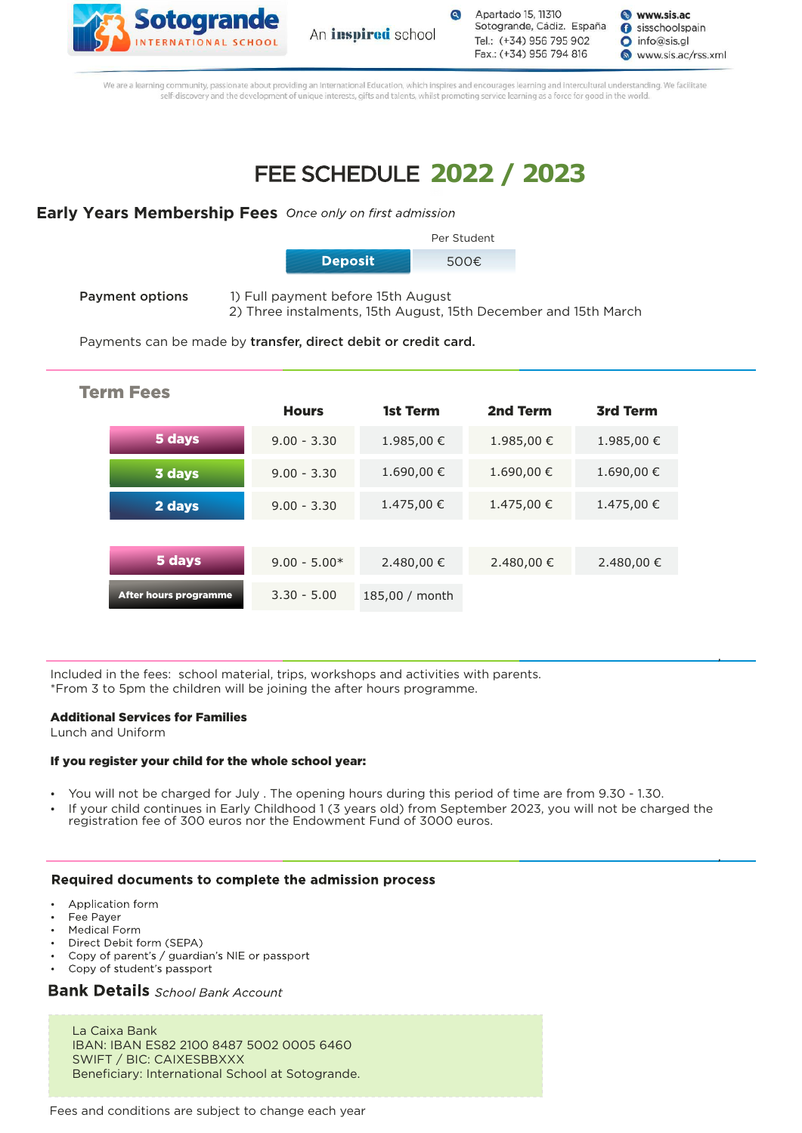



Apartado 15, 11310 Sotogrande, Cádiz. España Tel.: (+34) 956 795 902 Fax.: (+34) 956 794 816

**&** www.sis.ac sisschoolspain  $\bigcirc$  info@sis.gl www.sis.ac/rss.xml

We are a learning community, passionate about providing an International Education, which inspires and encourages learning and intercultural understanding. We facilitate self-discovery and the development of unique interests, gifts and talents, whilst promoting service learning as a force for good in the world.

# **2022 / 2023**

### **Early Years Membership Fees** Once only on first admission



- **Payment options** 1) Full payment before 15th August
	- 2) Three instalments, 15th August, 15th December and 15th March

Payments can be made by transfer, direct debit or credit card.

| <b>Term Fees</b> |                       |                |                |            |                 |  |  |
|------------------|-----------------------|----------------|----------------|------------|-----------------|--|--|
|                  |                       | <b>Hours</b>   | 1st Term       | 2nd Term   | <b>3rd Term</b> |  |  |
|                  | 5 days                | $9.00 - 3.30$  | 1.985,00 €     | 1.985,00 € | 1.985,00 €      |  |  |
|                  | 3 days                | $9.00 - 3.30$  | 1.690,00 €     | 1.690,00 € | 1.690,00 €      |  |  |
|                  | 2 days                | $9.00 - 3.30$  | 1.475,00 €     | 1.475,00 € | 1.475,00 €      |  |  |
|                  |                       |                |                |            |                 |  |  |
|                  | 5 days                | $9.00 - 5.00*$ | 2.480,00 €     | 2.480,00 € | 2.480,00 €      |  |  |
|                  | After hours programme | $3.30 - 5.00$  | 185,00 / month |            |                 |  |  |

Included in the fees: school material, trips, workshops and activities with parents. \*From 3 to 5pm the children will be joining the after hours programme.

### Additional Services for Families

Lunch and Uniform

### If you register your child for the whole school year:

- You will not be charged for July . The opening hours during this period of time are from 9.30 1.30.
- If your child continues in Early Childhood 1 (3 years old) from September 2023, you will not be charged the registration fee of 300 euros nor the Endowment Fund of 3000 euros.

### Required documents to complete the admission process

- Application form
- Fee Payer
- Medical Form
- Direct Debit form (SEPA)
- Copy of parent's / guardian's NIE or passport
- Copy of student's passport

## **Bank Details** School Bank Account

La Caixa Bank IBAN: IBAN ES82 2100 8487 5002 0005 6460 SWIFT / BIC: CAIXESBBXXX Beneficiary: International School at Sotogrande.

Fees and conditions are subject to change each year